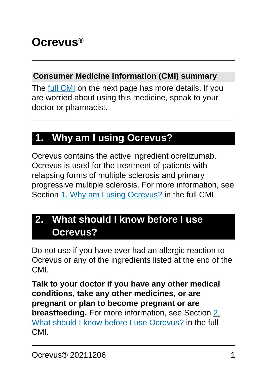#### **Consumer Medicine Information (CMI) summary**

The [full CMI](#page-4-0) on the next page has more details. If you are worried about using this medicine, speak to your doctor or pharmacist.

# **1. Why am I using Ocrevus?**

Ocrevus contains the active ingredient ocrelizumab. Ocrevus is used for the treatment of patients with relapsing forms of multiple sclerosis and primary progressive multiple sclerosis. For more information, see Section [1. Why am I using Ocrevus?](#page-4-1) in the full CMI.

# **2. What should I know before I use Ocrevus?**

Do not use if you have ever had an allergic reaction to Ocrevus or any of the ingredients listed at the end of the CMI.

**Talk to your doctor if you have any other medical conditions, take any other medicines, or are pregnant or plan to become pregnant or are breastfeeding.** For more information, see Section [2.](#page-4-1) [What should I know before I use Ocrevus?](#page-4-1) in the full CMI.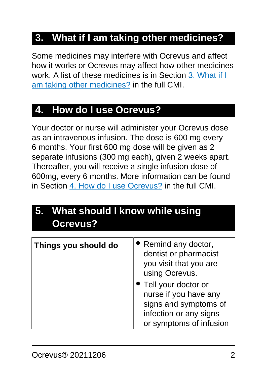# **3. What if I am taking other medicines?**

Some medicines may interfere with Ocrevus and affect how it works or Ocrevus may affect how other medicines work. A list of these medicines is in Section [3. What if I](#page-7-0) [am taking other medicines?](#page-7-0) in the full CMI.

### **4. How do I use Ocrevus?**

Your doctor or nurse will administer your Ocrevus dose as an intravenous infusion. The dose is 600 mg every 6 months. Your first 600 mg dose will be given as 2 separate infusions (300 mg each), given 2 weeks apart. Thereafter, you will receive a single infusion dose of 600mg, every 6 months. More information can be found in Section [4. How do I use Ocrevus?](#page-8-0) in the full CMI.

# **5. What should I know while using Ocrevus?**

| Things you should do | • Remind any doctor,<br>dentist or pharmacist<br>you visit that you are<br>using Ocrevus.<br>• Tell your doctor or<br>nurse if you have any<br>signs and symptoms of<br>infection or any signs<br>or symptoms of infusion |
|----------------------|---------------------------------------------------------------------------------------------------------------------------------------------------------------------------------------------------------------------------|
|                      |                                                                                                                                                                                                                           |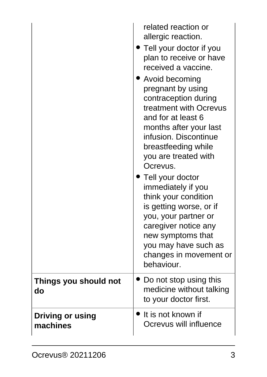|                                     | related reaction or<br>allergic reaction.<br>• Tell your doctor if you<br>plan to receive or have<br>received a vaccine.<br>• Avoid becoming<br>pregnant by using<br>contraception during<br>treatment with Ocrevus<br>and for at least 6<br>months after your last<br>infusion. Discontinue<br>breastfeeding while<br>you are treated with<br>Ocrevus.<br>Tell your doctor<br>immediately if you<br>think your condition<br>is getting worse, or if<br>you, your partner or<br>caregiver notice any<br>new symptoms that<br>you may have such as<br>changes in movement or<br>behaviour. |
|-------------------------------------|-------------------------------------------------------------------------------------------------------------------------------------------------------------------------------------------------------------------------------------------------------------------------------------------------------------------------------------------------------------------------------------------------------------------------------------------------------------------------------------------------------------------------------------------------------------------------------------------|
| Things you should not<br>do         | Do not stop using this<br>medicine without talking<br>to your doctor first.                                                                                                                                                                                                                                                                                                                                                                                                                                                                                                               |
| <b>Driving or using</b><br>machines | $\bullet$ It is not known if<br>Ocrevus will influence                                                                                                                                                                                                                                                                                                                                                                                                                                                                                                                                    |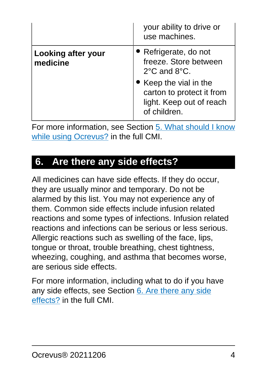|                                       | your ability to drive or<br>use machines.                                                       |
|---------------------------------------|-------------------------------------------------------------------------------------------------|
| <b>Looking after your</b><br>medicine | • Refrigerate, do not<br>freeze. Store between<br>$2^{\circ}$ C and $8^{\circ}$ C.              |
|                                       | • Keep the vial in the<br>carton to protect it from<br>light. Keep out of reach<br>of children. |

For more information, see Section [5. What should I know](#page-10-0) [while using Ocrevus?](#page-10-0) in the full CMI.

### **6. Are there any side effects?**

All medicines can have side effects. If they do occur, they are usually minor and temporary. Do not be alarmed by this list. You may not experience any of them. Common side effects include infusion related reactions and some types of infections. Infusion related reactions and infections can be serious or less serious. Allergic reactions such as swelling of the face, lips, tongue or throat, trouble breathing, chest tightness, wheezing, coughing, and asthma that becomes worse, are serious side effects.

For more information, including what to do if you have any side effects, see Section [6. Are there any side](#page-12-0) [effects?](#page-12-0) in the full CMI.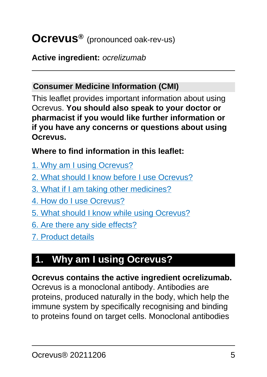# <span id="page-4-0"></span>**Ocrevus®** (pronounced oak-rev-us)

#### **Active ingredient:** ocrelizumab

#### **Consumer Medicine Information (CMI)**

This leaflet provides important information about using Ocrevus. **You should also speak to your doctor or pharmacist if you would like further information or if you have any concerns or questions about using Ocrevus.**

#### **Where to find information in this leaflet:**

- [1. Why am I using Ocrevus?](#page-4-1)
- [2. What should I know before I use Ocrevus?](#page-4-1)
- [3. What if I am taking other medicines?](#page-7-0)
- [4. How do I use Ocrevus?](#page-8-0)
- [5. What should I know while using Ocrevus?](#page-10-0)
- [6. Are there any side effects?](#page-12-0)
- [7. Product details](#page-16-0)

# <span id="page-4-1"></span>**1. Why am I using Ocrevus?**

#### **Ocrevus contains the active ingredient ocrelizumab.**

Ocrevus is a monoclonal antibody. Antibodies are proteins, produced naturally in the body, which help the immune system by specifically recognising and binding to proteins found on target cells. Monoclonal antibodies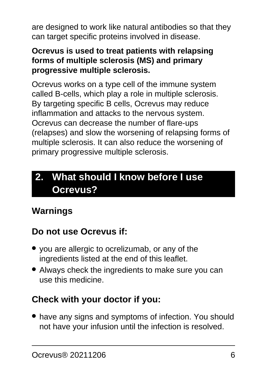are designed to work like natural antibodies so that they can target specific proteins involved in disease.

#### **Ocrevus is used to treat patients with relapsing forms of multiple sclerosis (MS) and primary progressive multiple sclerosis.**

Ocrevus works on a type cell of the immune system called B-cells, which play a role in multiple sclerosis. By targeting specific B cells, Ocrevus may reduce inflammation and attacks to the nervous system. Ocrevus can decrease the number of flare-ups (relapses) and slow the worsening of relapsing forms of multiple sclerosis. It can also reduce the worsening of primary progressive multiple sclerosis.

# **2. What should I know before I use Ocrevus?**

# **Warnings**

### **Do not use Ocrevus if:**

- you are allergic to ocrelizumab, or any of the ingredients listed at the end of this leaflet.
- Always check the ingredients to make sure you can use this medicine.

### **Check with your doctor if you:**

• have any signs and symptoms of infection. You should not have your infusion until the infection is resolved.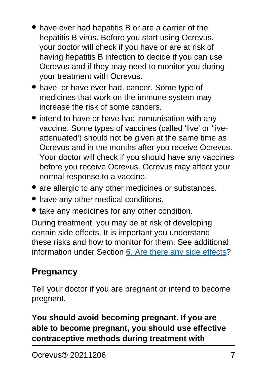- have ever had hepatitis B or are a carrier of the hepatitis B virus. Before you start using Ocrevus, your doctor will check if you have or are at risk of having hepatitis B infection to decide if you can use Ocrevus and if they may need to monitor you during your treatment with Ocrevus.
- have, or have ever had, cancer. Some type of medicines that work on the immune system may increase the risk of some cancers.
- intend to have or have had immunisation with any vaccine. Some types of vaccines (called 'live' or 'liveattenuated') should not be given at the same time as Ocrevus and in the months after you receive Ocrevus. Your doctor will check if you should have any vaccines before you receive Ocrevus. Ocrevus may affect your normal response to a vaccine.
- are allergic to any other medicines or substances.
- have any other medical conditions.
- take any medicines for any other condition.

During treatment, you may be at risk of developing certain side effects. It is important you understand these risks and how to monitor for them. See additional information under Section [6. Are there any side effects](#page-12-0)?

# **Pregnancy**

Tell your doctor if you are pregnant or intend to become pregnant.

### **You should avoid becoming pregnant. If you are able to become pregnant, you should use effective contraceptive methods during treatment with**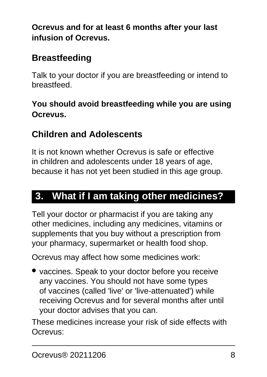**Ocrevus and for at least 6 months after your last infusion of Ocrevus.**

## **Breastfeeding**

Talk to your doctor if you are breastfeeding or intend to breastfeed.

### **You should avoid breastfeeding while you are using Ocrevus.**

## **Children and Adolescents**

It is not known whether Ocrevus is safe or effective in children and adolescents under 18 years of age, because it has not yet been studied in this age group.

# <span id="page-7-0"></span>**3. What if I am taking other medicines?**

Tell your doctor or pharmacist if you are taking any other medicines, including any medicines, vitamins or supplements that you buy without a prescription from your pharmacy, supermarket or health food shop.

Ocrevus may affect how some medicines work:

• vaccines. Speak to your doctor before you receive any vaccines. You should not have some types of vaccines (called 'live' or 'live-attenuated') while receiving Ocrevus and for several months after until your doctor advises that you can.

These medicines increase your risk of side effects with Ocrevus: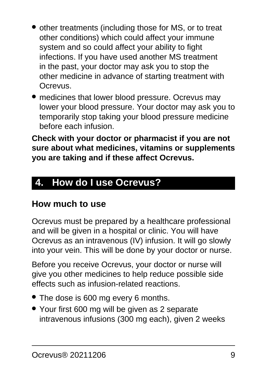- other treatments (including those for MS, or to treat other conditions) which could affect your immune system and so could affect your ability to fight infections. If you have used another MS treatment in the past, your doctor may ask you to stop the other medicine in advance of starting treatment with Ocrevus.
- medicines that lower blood pressure. Ocrevus may lower your blood pressure. Your doctor may ask you to temporarily stop taking your blood pressure medicine before each infusion.

**Check with your doctor or pharmacist if you are not sure about what medicines, vitamins or supplements you are taking and if these affect Ocrevus.**

# <span id="page-8-0"></span>**4. How do I use Ocrevus?**

### **How much to use**

Ocrevus must be prepared by a healthcare professional and will be given in a hospital or clinic. You will have Ocrevus as an intravenous (IV) infusion. It will go slowly into your vein. This will be done by your doctor or nurse.

Before you receive Ocrevus, your doctor or nurse will give you other medicines to help reduce possible side effects such as infusion-related reactions.

- The dose is 600 mg every 6 months.
- Your first 600 mg will be given as 2 separate intravenous infusions (300 mg each), given 2 weeks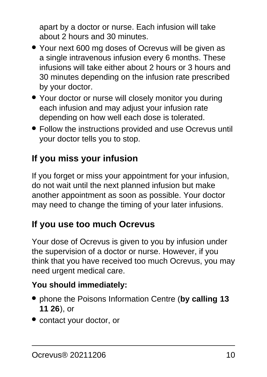apart by a doctor or nurse. Each infusion will take about 2 hours and 30 minutes.

- Your next 600 mg doses of Ocrevus will be given as a single intravenous infusion every 6 months. These infusions will take either about 2 hours or 3 hours and 30 minutes depending on the infusion rate prescribed by your doctor.
- Your doctor or nurse will closely monitor you during each infusion and may adjust your infusion rate depending on how well each dose is tolerated.
- Follow the instructions provided and use Ocrevus until your doctor tells you to stop.

# **If you miss your infusion**

If you forget or miss your appointment for your infusion, do not wait until the next planned infusion but make another appointment as soon as possible. Your doctor may need to change the timing of your later infusions.

# **If you use too much Ocrevus**

Your dose of Ocrevus is given to you by infusion under the supervision of a doctor or nurse. However, if you think that you have received too much Ocrevus, you may need urgent medical care.

### **You should immediately:**

- phone the Poisons Information Centre (**by calling 13 11 26**), or
- contact your doctor, or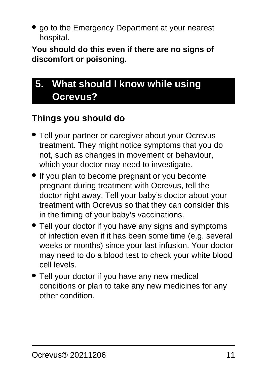• go to the Emergency Department at your nearest hospital.

**You should do this even if there are no signs of discomfort or poisoning.**

# <span id="page-10-0"></span>**5. What should I know while using Ocrevus?**

## **Things you should do**

- Tell your partner or caregiver about your Ocrevus treatment. They might notice symptoms that you do not, such as changes in movement or behaviour, which your doctor may need to investigate.
- If you plan to become pregnant or you become pregnant during treatment with Ocrevus, tell the doctor right away. Tell your baby's doctor about your treatment with Ocrevus so that they can consider this in the timing of your baby's vaccinations.
- Tell your doctor if you have any signs and symptoms of infection even if it has been some time (e.g. several weeks or months) since your last infusion. Your doctor may need to do a blood test to check your white blood cell levels.
- Tell your doctor if you have any new medical conditions or plan to take any new medicines for any other condition.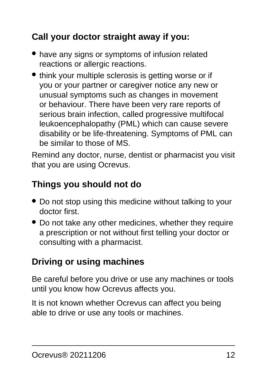# **Call your doctor straight away if you:**

- have any signs or symptoms of infusion related reactions or allergic reactions.
- think your multiple sclerosis is getting worse or if you or your partner or caregiver notice any new or unusual symptoms such as changes in movement or behaviour. There have been very rare reports of serious brain infection, called progressive multifocal leukoencephalopathy (PML) which can cause severe disability or be life-threatening. Symptoms of PML can be similar to those of MS.

Remind any doctor, nurse, dentist or pharmacist you visit that you are using Ocrevus.

### **Things you should not do**

- Do not stop using this medicine without talking to your doctor first.
- Do not take any other medicines, whether they require a prescription or not without first telling your doctor or consulting with a pharmacist.

## **Driving or using machines**

Be careful before you drive or use any machines or tools until you know how Ocrevus affects you.

It is not known whether Ocrevus can affect you being able to drive or use any tools or machines.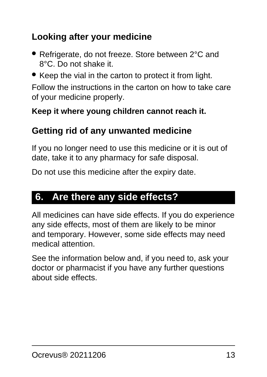## **Looking after your medicine**

- Refrigerate, do not freeze. Store between 2°C and 8°C. Do not shake it.
- Keep the vial in the carton to protect it from light.

Follow the instructions in the carton on how to take care of your medicine properly.

#### **Keep it where young children cannot reach it.**

### **Getting rid of any unwanted medicine**

If you no longer need to use this medicine or it is out of date, take it to any pharmacy for safe disposal.

Do not use this medicine after the expiry date.

# <span id="page-12-0"></span>**6. Are there any side effects?**

All medicines can have side effects. If you do experience any side effects, most of them are likely to be minor and temporary. However, some side effects may need medical attention.

See the information below and, if you need to, ask your doctor or pharmacist if you have any further questions about side effects.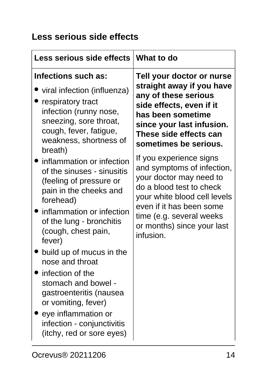### **Less serious side effects**

| <b>Less serious side effects</b>                                                                                                                                                                                           | <b>What to do</b>            |
|----------------------------------------------------------------------------------------------------------------------------------------------------------------------------------------------------------------------------|------------------------------|
| Infections such as:                                                                                                                                                                                                        | Tell your doctor or nurse    |
| viral infection (influenza)                                                                                                                                                                                                | straight away if you have    |
| respiratory tract                                                                                                                                                                                                          | any of these serious         |
| infection (runny nose,                                                                                                                                                                                                     | side effects, even if it     |
| sneezing, sore throat,                                                                                                                                                                                                     | has been sometime            |
| cough, fever, fatigue,                                                                                                                                                                                                     | since your last infusion.    |
| weakness, shortness of                                                                                                                                                                                                     | These side effects can       |
| breath)                                                                                                                                                                                                                    | sometimes be serious.        |
| inflammation or infection                                                                                                                                                                                                  | If you experience signs      |
| of the sinuses - sinusitis                                                                                                                                                                                                 | and symptoms of infection,   |
| (feeling of pressure or                                                                                                                                                                                                    | your doctor may need to      |
| pain in the cheeks and                                                                                                                                                                                                     | do a blood test to check     |
| forehead)                                                                                                                                                                                                                  | your white blood cell levels |
| inflammation or infection                                                                                                                                                                                                  | even if it has been some     |
| of the lung - bronchitis                                                                                                                                                                                                   | time (e.g. several weeks     |
| (cough, chest pain,                                                                                                                                                                                                        | or months) since your last   |
| fever)                                                                                                                                                                                                                     | infusion.                    |
| build up of mucus in the<br>nose and throat<br>infection of the<br>stomach and bowel -<br>gastroenteritis (nausea<br>or vomiting, fever)<br>eye inflammation or<br>infection - conjunctivitis<br>(itchy, red or sore eyes) |                              |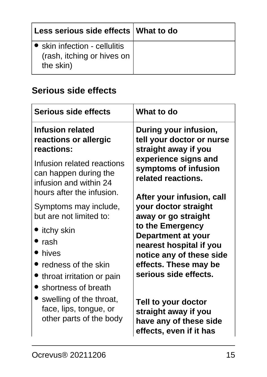| Less serious side effects   What to do                                   |  |
|--------------------------------------------------------------------------|--|
| • skin infection - cellulitis<br>(rash, itching or hives on<br>the skin) |  |

# **Serious side effects**

| <b>Serious side effects</b>                                                                                                                                                   | What to do                                                                                                                                                                                     |
|-------------------------------------------------------------------------------------------------------------------------------------------------------------------------------|------------------------------------------------------------------------------------------------------------------------------------------------------------------------------------------------|
| <b>Infusion related</b><br>reactions or allergic<br>reactions:                                                                                                                | During your infusion,<br>tell your doctor or nurse<br>straight away if you<br>experience signs and<br>symptoms of infusion<br>related reactions.<br>After your infusion, call                  |
| Infusion related reactions<br>can happen during the<br>infusion and within 24<br>hours after the infusion.                                                                    |                                                                                                                                                                                                |
| Symptoms may include,<br>but are not limited to:<br><i>itchy skin</i><br>rash<br>• hives<br>$\bullet$ redness of the skin<br>throat irritation or pain<br>shortness of breath | your doctor straight<br>away or go straight<br>to the Emergency<br>Department at your<br>nearest hospital if you<br>notice any of these side<br>effects. These may be<br>serious side effects. |
| $\bullet$ swelling of the throat,<br>face, lips, tongue, or<br>other parts of the body                                                                                        | Tell to your doctor<br>straight away if you<br>have any of these side<br>effects, even if it has                                                                                               |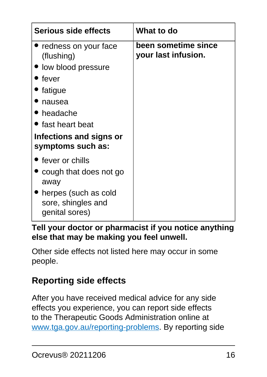| <b>Serious side effects</b>                                  | What to do                                 |
|--------------------------------------------------------------|--------------------------------------------|
| $\bullet$ redness on your face<br>(flushing)                 | been sometime since<br>your last infusion. |
| · low blood pressure                                         |                                            |
| fever                                                        |                                            |
| fatigue                                                      |                                            |
| nausea                                                       |                                            |
| • headache                                                   |                                            |
| • fast heart beat                                            |                                            |
| Infections and signs or<br>symptoms such as:                 |                                            |
| $\bullet$ fever or chills                                    |                                            |
| cough that does not go<br>away                               |                                            |
| herpes (such as cold<br>sore, shingles and<br>genital sores) |                                            |

**Tell your doctor or pharmacist if you notice anything else that may be making you feel unwell.**

Other side effects not listed here may occur in some people.

## **Reporting side effects**

After you have received medical advice for any side effects you experience, you can report side effects to the Therapeutic Goods Administration online at [www.tga.gov.au/reporting-problems.](http://www.tga.gov.au/reporting-problems) By reporting side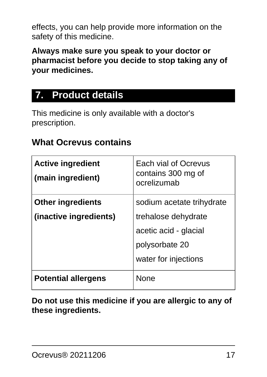effects, you can help provide more information on the safety of this medicine.

**Always make sure you speak to your doctor or pharmacist before you decide to stop taking any of your medicines.**

# <span id="page-16-0"></span>**7. Product details**

This medicine is only available with a doctor's prescription.

### **What Ocrevus contains**

| <b>Active ingredient</b><br>(main ingredient) | Each vial of Ocrevus<br>contains 300 mg of<br>ocrelizumab |
|-----------------------------------------------|-----------------------------------------------------------|
| <b>Other ingredients</b>                      | sodium acetate trihydrate                                 |
| (inactive ingredients)                        | trehalose dehydrate                                       |
|                                               | acetic acid - glacial                                     |
|                                               | polysorbate 20                                            |
|                                               | water for injections                                      |
| <b>Potential allergens</b>                    | <b>None</b>                                               |

**Do not use this medicine if you are allergic to any of these ingredients.**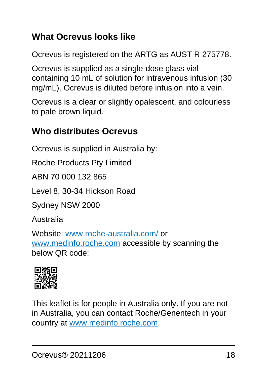### **What Ocrevus looks like**

Ocrevus is registered on the ARTG as AUST R 275778.

Ocrevus is supplied as a single-dose glass vial containing 10 mL of solution for intravenous infusion (30 mg/mL). Ocrevus is diluted before infusion into a vein.

Ocrevus is a clear or slightly opalescent, and colourless to pale brown liquid.

### **Who distributes Ocrevus**

Ocrevus is supplied in Australia by:

Roche Products Pty Limited

ABN 70 000 132 865

Level 8, 30-34 Hickson Road

Sydney NSW 2000

Australia

Website: [www.roche-australia.com/](http://www.roche-australia.com/) or [www.medinfo.roche.com](http://www.medinfo.roche.com) accessible by scanning the below QR code:



This leaflet is for people in Australia only. If you are not in Australia, you can contact Roche/Genentech in your country at [www.medinfo.roche.com.](http://www.medinfo.roche.com)